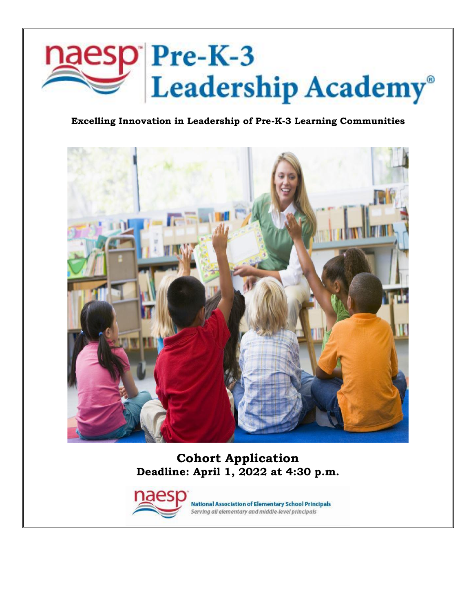

### **Excelling Innovation in Leadership of Pre-K-3 Learning Communities**



**Cohort Application Deadline: April 1, 2022 at 4:30 p.m.**



**National Association of Elementary School Principals** Serving all elementary and middle-level principals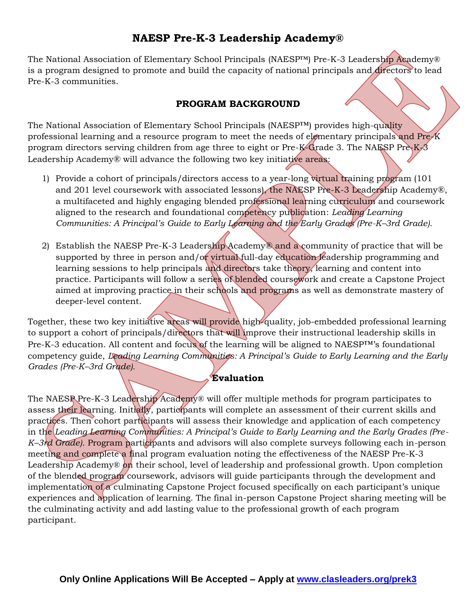## **NAESP Pre-K-3 Leadership Academy®**

The National Association of Elementary School Principals (NAESP<sup>™)</sup> Pre-K-3 Leadership Academy® is a program designed to promote and build the capacity of national principals and directors to lead Pre-K-3 communities.

### **PROGRAM BACKGROUND**

The National Association of Elementary School Principals (NAESP™) provides high-quality professional learning and a resource program to meet the needs of elementary principals and Pre-K program directors serving children from age three to eight or Pre-K-Grade 3. The NAESP Pre-K-3 Leadership Academy® will advance the following two key initiative areas:

- 1) Provide a cohort of principals/directors access to a year-long virtual training program (101) and 201 level coursework with associated lessons), the NAESP Pre-K-3 Leadership Academy®, a multifaceted and highly engaging blended professional learning curriculum and coursework aligned to the research and foundational competency publication: *Leading Learning Communities: A Principal's Guide to Early Learning and the Early Grades (Pre-K–3rd Grade).*
- 2) Establish the NAESP Pre-K-3 Leadership Academy® and a community of practice that will be supported by three in person and/or virtual full-day education leadership programming and learning sessions to help principals and directors take theory, learning and content into practice. Participants will follow a series of blended coursework and create a Capstone Project aimed at improving practice in their schools and programs as well as demonstrate mastery of deeper-level content.

Together, these two key initiative areas will provide high-quality, job-embedded professional learning to support a cohort of principals/directors that will improve their instructional leadership skills in Pre-K-3 education. All content and focus of the learning will be aligned to NAESP™'s foundational competency guide, *Leading Learning Communities: A Principal's Guide to Early Learning and the Early Grades (Pre-K–3rd Grade).*

### **Evaluation**

The NAESP Pre-K-3 Leadership Academy® will offer multiple methods for program participates to assess their learning. Initially, participants will complete an assessment of their current skills and practices. Then cohort participants will assess their knowledge and application of each competency in the *Leading Learning Communities: A Principal's Guide to Early Learning and the Early Grades (Pre-K–3rd Grade)*. Program participants and advisors will also complete surveys following each in-person meeting and complete a final program evaluation noting the effectiveness of the NAESP Pre-K-3 Leadership Academy® on their school, level of leadership and professional growth. Upon completion of the blended program coursework, advisors will guide participants through the development and implementation of a culminating Capstone Project focused specifically on each participant's unique experiences and application of learning. The final in-person Capstone Project sharing meeting will be the culminating activity and add lasting value to the professional growth of each program participant.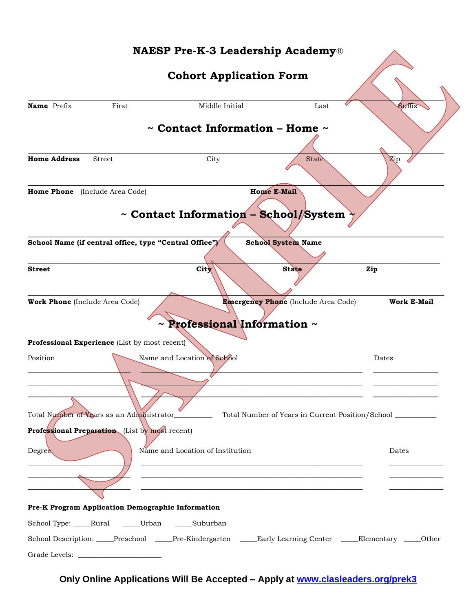# **NAESP Pre-K-3 Leadership Academy**® **Cohort Application Form**  $\overbrace{\phantom{xxxxx}}$ **Name** Prefix First Middle Initial Last Suffix **~ Contact Information – Home ~**  $\overline{\phantom{a}}$ **Home Address** Street City City State State Zip  $\overbrace{\phantom{xxxxx}}$ **Home Phone** (Include Area Code) **Home E-Mail ~ Contact Information – School/System ~** \_\_\_\_\_\_\_\_\_\_\_\_\_\_\_\_\_\_\_\_\_\_\_\_\_\_\_\_\_\_\_\_\_\_\_\_\_\_\_\_\_\_\_\_\_\_\_\_\_\_\_\_\_\_\_\_\_\_\_\_\_\_\_\_\_\_\_\_\_\_\_\_\_\_\_\_\_ School Name (if central office, type "Central Office") School System Name  $\Box$ Street Zip \_\_\_\_\_\_\_\_\_\_\_\_\_\_\_\_\_\_\_\_\_\_\_\_\_\_\_\_\_\_\_\_\_\_\_\_\_\_\_\_\_\_\_\_\_\_\_\_\_\_\_\_\_\_\_\_\_\_\_\_\_\_\_\_\_\_\_\_\_\_\_\_\_\_\_\_\_ **Work Phone** (Include Area Code) **Emergency Phone** (Include Area Code) **Work E-Mail ~ Professional Information ~ Professional Experience** (List by most recent) Position Name and Location of School Dates Dates  $\overline{\phantom{a}}$  ,  $\overline{\phantom{a}}$  ,  $\overline{\phantom{a}}$  ,  $\overline{\phantom{a}}$  ,  $\overline{\phantom{a}}$  ,  $\overline{\phantom{a}}$  ,  $\overline{\phantom{a}}$  ,  $\overline{\phantom{a}}$  ,  $\overline{\phantom{a}}$  ,  $\overline{\phantom{a}}$  ,  $\overline{\phantom{a}}$  ,  $\overline{\phantom{a}}$  ,  $\overline{\phantom{a}}$  ,  $\overline{\phantom{a}}$  ,  $\overline{\phantom{a}}$  ,  $\overline{\phantom{a}}$  $\overbrace{\phantom{xxxxx}}$  ,  $\overbrace{\phantom{xxxxx}}$  ,  $\overbrace{\phantom{xxxxx}}$  ,  $\overbrace{\phantom{xxxxx}}$  ,  $\overbrace{\phantom{xxxxx}}$ \_\_\_\_\_\_\_\_\_\_\_\_\_\_\_\_\_\_\_ \_\_\_\_\_\_\_\_\_\_\_\_\_\_\_\_\_\_\_\_\_\_\_\_\_\_\_\_\_\_\_\_\_\_\_\_\_\_\_\_\_ \_\_\_\_\_\_\_\_\_\_\_\_ Total Number of Years as an Administrator\_\_\_\_\_\_\_\_\_\_\_\_\_ Total Number of Years in Current Position/School \_\_ **Professional Preparation** (List by most recent) Degree Name and Location of Institution Dates  $\overline{\phantom{a}}$  ,  $\overline{\phantom{a}}$  ,  $\overline{\phantom{a}}$  ,  $\overline{\phantom{a}}$  ,  $\overline{\phantom{a}}$  ,  $\overline{\phantom{a}}$  ,  $\overline{\phantom{a}}$  ,  $\overline{\phantom{a}}$  ,  $\overline{\phantom{a}}$  ,  $\overline{\phantom{a}}$  ,  $\overline{\phantom{a}}$  ,  $\overline{\phantom{a}}$  ,  $\overline{\phantom{a}}$  ,  $\overline{\phantom{a}}$  ,  $\overline{\phantom{a}}$  ,  $\overline{\phantom{a}}$

| Pre-K Program Application Demographic Information                                     |  |
|---------------------------------------------------------------------------------------|--|
| School Type: Rural ______Urban _______Suburban                                        |  |
| School Description: Preschool Pre-Kindergarten Larly Learning Center Lelementary Cher |  |
|                                                                                       |  |

**Only Online Applications Will Be Accepted – Apply at [www.clasleaders.org/prek3](https://clasleaders.org/prek3)**

\_\_\_\_\_\_\_\_\_\_\_\_\_\_\_\_\_\_\_ \_\_\_\_\_\_\_\_\_\_\_\_\_\_\_\_\_\_\_\_\_\_\_\_\_\_\_\_\_\_\_\_\_\_\_\_\_\_\_\_\_ \_\_\_\_\_\_\_\_\_\_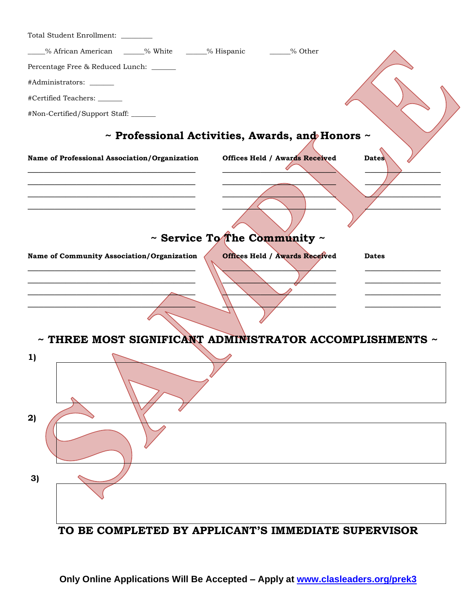| Total Student Enrollment: _______                                                                   |
|-----------------------------------------------------------------------------------------------------|
| _% African American ______% White _______% Hispanic _______% Other                                  |
| Percentage Free & Reduced Lunch: ______                                                             |
| #Administrators: ______                                                                             |
| #Certified Teachers: ______                                                                         |
| #Non-Certified/Support Staff:                                                                       |
| $\sim$ Professional Activities, Awards, and Honors $\sim$                                           |
| <b>Offices Held / Awards Received</b><br>Dates<br>Name of Professional Association/Organization     |
|                                                                                                     |
|                                                                                                     |
|                                                                                                     |
|                                                                                                     |
| $\sim$ Service To The Community $\sim$                                                              |
| <b>Offices Held / Awards Received</b><br>Name of Community Association/Organization<br><b>Dates</b> |
|                                                                                                     |
|                                                                                                     |
|                                                                                                     |
|                                                                                                     |
|                                                                                                     |
| $\sim$ THREE MOST SIGNIFICANT ADMINISTRATOR ACCOMPLISHMENTS $\sim$                                  |
| 1)                                                                                                  |
|                                                                                                     |
|                                                                                                     |
|                                                                                                     |
| 2)                                                                                                  |
|                                                                                                     |
|                                                                                                     |
|                                                                                                     |
| 3)                                                                                                  |
|                                                                                                     |
|                                                                                                     |
| TO BE COMPLETED BY APPLICANT'S IMMEDIATE SUPERVISOR                                                 |